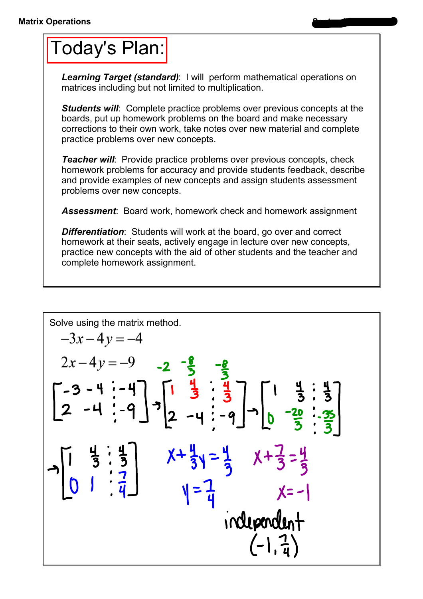## Today's Plan:

**Learning Target (standard):** I will perform mathematical operations on matrices including but not limited to multiplication.

**Students will:** Complete practice problems over previous concepts at the boards, put up homework problems on the board and make necessary corrections to their own work, take notes over new material and complete practice problems over new concepts.

*Teacher will:* Provide practice problems over previous concepts, check homework problems for accuracy and provide students feedback, describe and provide examples of new concepts and assign students assessment problems over new concepts.

*Assessment*: Board work, homework check and homework assignment

*Differentiation*: Students will work at the board, go over and correct homework at their seats, actively engage in lecture over new concepts, practice new concepts with the aid of other students and the teacher and complete homework assignment.

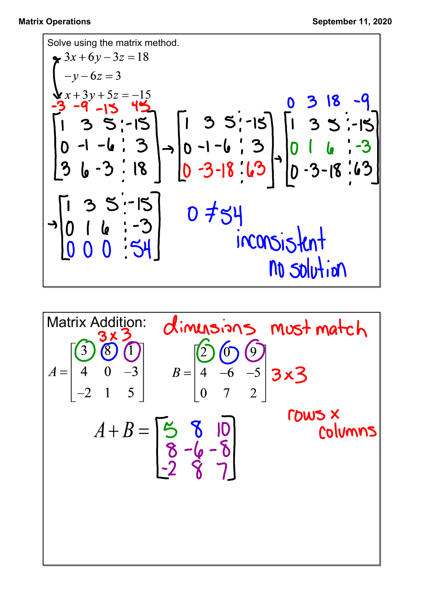Solve using the matrix method.  
\n
$$
\begin{bmatrix}\n3x + 6y - 3z = 18 \\
-y - 6z = 3\n\end{bmatrix}
$$
\n
$$
\begin{bmatrix}\n3x + 3y + 5z = -15 \\
-3 & -9 \\
1 & 3 & 5 \\
0 & -1 & -6 \\
1 & 3 & 5\n\end{bmatrix}
$$
\n
$$
\begin{bmatrix}\n1 & 3 & 5 \\
0 & -1 & -6 \\
3 & 6 & -3\n\end{bmatrix}
$$
\n
$$
\begin{bmatrix}\n1 & 3 & 5 \\
0 & -1 & -6 \\
3 & 6 & -3\n\end{bmatrix}
$$
\n
$$
\begin{bmatrix}\n1 & 3 & 5 \\
0 & -1 & -6 \\
0 & -3 & -18 \\
0 & -3 & -18\n\end{bmatrix}
$$
\n
$$
\begin{bmatrix}\n1 & 3 & 5 \\
0 & 1 & 6 \\
0 & -3 & -18 \\
0 & 0 & 0\n\end{bmatrix}
$$
\n
$$
\begin{bmatrix}\n1 & 3 & 5 \\
0 & -1 & 6 \\
0 & -3 & -18 \\
0 & 0 & 0\n\end{bmatrix}
$$
\n
$$
\begin{bmatrix}\n1 & 3 & 5 \\
0 & -1 & 6 \\
0 & -3 & -18 \\
0 & 0 & 0\n\end{bmatrix}
$$
\n
$$
\begin{bmatrix}\n1 & 3 & 5 \\
0 & -1 & 6 \\
0 & 0 & 0\n\end{bmatrix}
$$
\n
$$
\begin{bmatrix}\n1 & 3 & 5 \\
0 & -1 & 5 \\
0 & 0 & 0\n\end{bmatrix}
$$
\n
$$
\begin{bmatrix}\n1 & 3 & 5 \\
0 & 1 & 6 \\
0 & 0 & 0\n\end{bmatrix}
$$
\n
$$
\begin{bmatrix}\n1 & 3 & 5 \\
0 & 1 & 6 \\
0 & 0 & 0\n\end{bmatrix}
$$
\n
$$
\begin{bmatrix}\n1 & 3 & 5 \\
0 & 1 & 6 \\
0 & 0 & 0\n\end{bmatrix}
$$
\n
$$
\begin{bmatrix}\n1 & 3 & 5 \\
0 & 1 & 6 \\
0 & 0 & 0\n\end{bmatrix}
$$
\n
$$
\begin{bmatrix}\n1 & 3 & 5 \\
0 & 1 & 6 \\
0 & 0 & 0\n\end{bmatrix}
$$
\n
$$
\begin{bmatrix}\n1 & 3 & 5 \\
0 &
$$

Matrix Addition: 
$$
dimusions
$$
 must match  $A = \begin{bmatrix} 3 & 3 & 3 \\ 4 & 0 & -3 \\ -2 & 1 & 5 \end{bmatrix}$   $B = \begin{bmatrix} 6 & 6 & 9 \\ 4 & -6 & -5 \\ 0 & 7 & 2 \end{bmatrix}$  3 × 3  
\n $A + B = \begin{bmatrix} 5 & 8 & 10 \\ 8 & -6 & -8 \\ -2 & 8 & 7 \end{bmatrix}$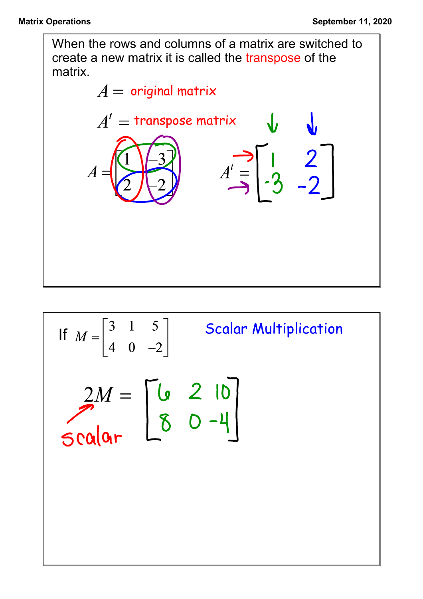When the rows and columns of a matrix are switched to create a new matrix it is called the transpose of the matrix.



If 
$$
M = \begin{bmatrix} 3 & 1 & 5 \\ 4 & 0 & -2 \end{bmatrix}
$$
 Scalar Multiplication  
\n
$$
\begin{bmatrix} 2M = \begin{bmatrix} 6 & 2 & 10 \\ 8 & 0 & -4 \end{bmatrix}
$$
\nScalar  
\n**S** 0  $-4$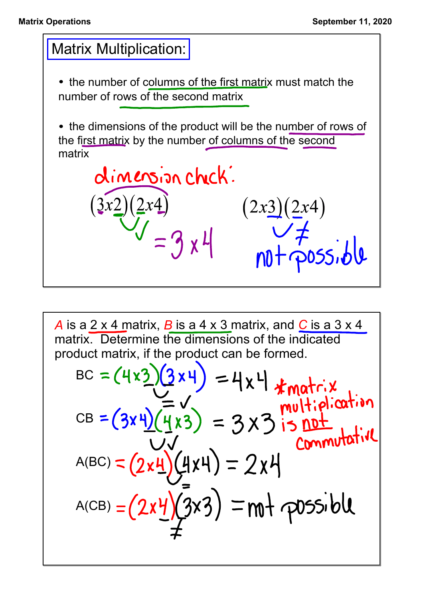

*A* is a 2 x 4 matrix, *B* is a 4 x 3 matrix, and *C* is a 3 x 4 matrix. Determine the dimensions of the indicated product matrix, if the product can be formed.

BC = 
$$
(4 \times 3)(3 \times 4) = 4 \times 4
$$
 \*matrix  
\nCB =  $(3 \times 4)(\frac{1}{4} \times 3) = 3 \times 3$  is not  
\n $A(BC) = (2 \times 4)(4 \times 4) = 2 \times 4$   
\n $A(CB) = (2 \times 4)(3 \times 3) = m + \text{possible}$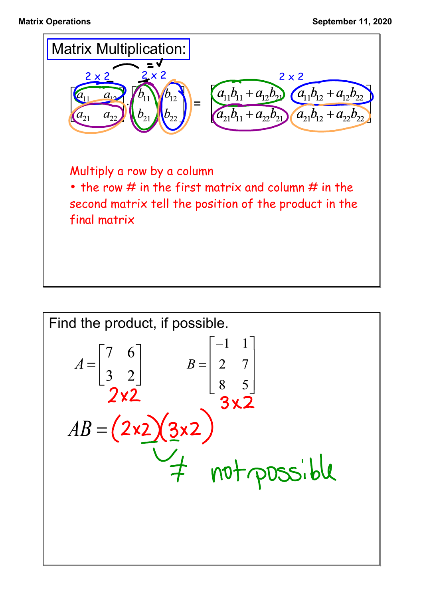